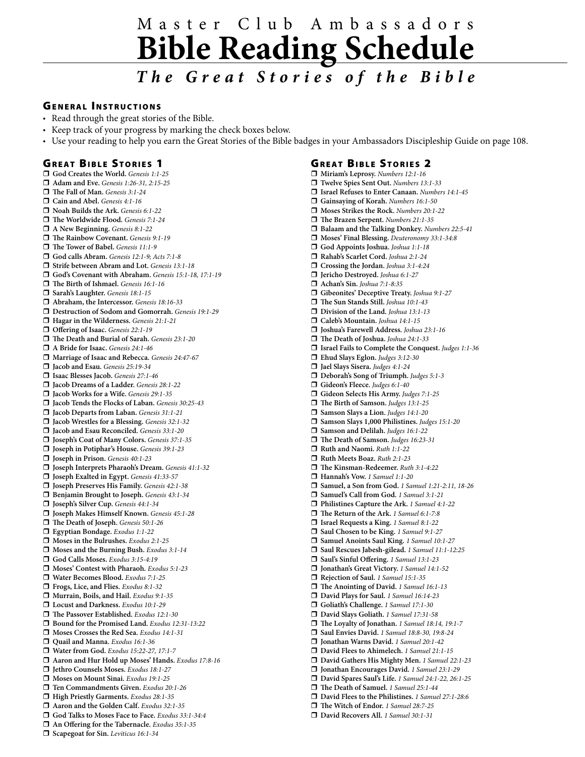# M a s t e r C l u b A m b a s s a d o r s **Bible Reading Schedule**

## *T h e G r e a t S t o r i e s o f t h e B i b l e*

#### **GENERAL INSTRUCTIONS**

- Read through the great stories of the Bible.
- Keep track of your progress by marking the check boxes below.
- Use your reading to help you earn the Great Stories of the Bible badges in your Ambassadors Discipleship Guide on page 108. •

#### **GREAT BIBLE STORIES 1**

r **God Creates the World.** *Genesis 1:1-25* □ Adam and Eve. *Genesis 1:26-31, 2:15-25* r **The Fall of Man.** *Genesis 3:1-24* r **Cain and Abel.** *Genesis 4:1-16* r **Noah Builds the Ark.** *Genesis 6:1-22* □ The Worldwide Flood. *Genesis 7:1-24* r **A New Beginning.** *Genesis 8:1-22* □ The Rainbow Covenant. *Genesis 9:1-19* □ The Tower of Babel. *Genesis 11:1-9* r **God calls Abram.** *Genesis 12:1-9; Acts 7:1-8* r **Strife between Abram and Lot.** *Genesis 13:1-18* r **God's Covenant with Abraham.** *Genesis 15:1-18, 17:1-19* r **The Birth of Ishmael.** *Genesis 16:1-16* r **Sarah's Laughter.** *Genesis 18:1-15* □ Abraham, the Intercessor. *Genesis 18:16-33* r **Destruction of Sodom and Gomorrah.** *Genesis 19:1-29* □ Hagar in the Wilderness. *Genesis 21:1-21* □ Offering of Isaac. *Genesis 22:1-19* r **The Death and Burial of Sarah.** *Genesis 23:1-20* □ A Bride for Isaac. *Genesis 24:1-46* r **Marriage of Isaac and Rebecca.** *Genesis 24:47-67* r **Jacob and Esau.** *Genesis 25:19-34* □ Isaac Blesses Jacob. *Genesis 27:1-46* r **Jacob Dreams of a Ladder.** *Genesis 28:1-22* □ Jacob Works for a Wife. *Genesis 29:1-35* r **Jacob Tends the Flocks of Laban.** *Genesis 30:25-43* r **Jacob Departs from Laban.** *Genesis 31:1-21* r **Jacob Wrestles for a Blessing.** *Genesis 32:1-32* r **Jacob and Esau Reconciled.** *Genesis 33:1-20* r **Joseph's Coat of Many Colors.** *Genesis 37:1-35* r **Joseph in Potiphar's House.** *Genesis 39:1-23* r **Joseph in Prison.** *Genesis 40:1-23* r **Joseph Interprets Pharaoh's Dream.** *Genesis 41:1-32* r **Joseph Exalted in Egypt.** *Genesis 41:33-57* r **Joseph Preserves His Family.** *Genesis 42:1-38* r **Benjamin Brought to Joseph.** *Genesis 43:1-34* r **Joseph's Silver Cup.** *Genesis 44:1-34* r **Joseph Makes Himself Known.** *Genesis 45:1-28* □ The Death of Joseph. *Genesis* 50:1-26 r **Egyptian Bondage.** *Exodus 1:1-22* r **Moses in the Bulrushes.** *Exodus 2:1-25* r **Moses and the Burning Bush.** *Exodus 3:1-14* r **God Calls Moses.** *Exodus 3:15-4:19* r **Moses' Contest with Pharaoh.** *Exodus 5:1-23* r **Water Becomes Blood.** *Exodus 7:1-25* r **Frogs, Lice, and Flies.** *Exodus 8:1-32* r **Murrain, Boils, and Hail.** *Exodus 9:1-35* r **Locust and Darkness.** *Exodus 10:1-29* r **The Passover Established.** *Exodus 12:1-30* r **Bound for the Promised Land.** *Exodus 12:31-13:22* r **Moses Crosses the Red Sea.** *Exodus 14:1-31* r **Quail and Manna.** *Exodus 16:1-36* □ Water from God. *Exodus 15:22-27, 17:1-7* r **Aaron and Hur Hold up Moses' Hands.** *Exodus 17:8-16* r **Jethro Counsels Moses.** *Exodus 18:1-27* r **Moses on Mount Sinai.** *Exodus 19:1-25* r **Ten Commandments Given.** *Exodus 20:1-26* r **High Priestly Garments.** *Exodus 28:1-35* r **Aaron and the Golden Calf.** *Exodus 32:1-35* r **God Talks to Moses Face to Face.** *Exodus 33:1-34:4* r **An Offering for the Tabernacle.** *Exodus 35:1-35* □ Scapegoat for Sin. *Leviticus* 16:1-34

### **GREAT BIBLE STORIES 2**

r **Miriam's Leprosy.** *Numbers 12:1-16* r **Twelve Spies Sent Out.** *Numbers 13:1-33* r **Israel Refuses to Enter Canaan.** *Numbers 14:1-45* r **Gainsaying of Korah.** *Numbers 16:1-50* □ Moses Strikes the Rock. *Numbers 20:1-22* □ The Brazen Serpent. *Numbers 21:1-35* r **Balaam and the Talking Donkey.** *Numbers 22:5-41* r **Moses' Final Blessing.** *Deuteronomy 33:1-34:8* r **God Appoints Joshua.** *Joshua 1:1-18* r **Rahab's Scarlet Cord.** *Joshua 2:1-24* □ Crossing the Jordan. *Joshua* 3:1-4:24 r **Jericho Destroyed.** *Joshua 6:1-27* r **Achan's Sin.** *Joshua 7:1-8:35* r **Gibeonites' Deceptive Treaty.** *Joshua 9:1-27* □ The Sun Stands Still. *Joshua 10:1-43* □ Division of the Land. *Joshua 13:1-13* r **Caleb's Mountain.** *Joshua 14:1-15* r **Joshua's Farewell Address.** *Joshua 23:1-16* □ The Death of Joshua. *Joshua 24:1-33* r **Israel Fails to Complete the Conquest.** *Judges 1:1-36* r **Ehud Slays Eglon.** *Judges 3:12-30* r **Jael Slays Sisera.** *Judges 4:1-24* r **Deborah's Song of Triumph.** *Judges 5:1-3* r **Gideon's Fleece.** *Judges 6:1-40* r **Gideon Selects His Army.** *Judges 7:1-25* r **The Birth of Samson.** *Judges 13:1-25* r **Samson Slays a Lion.** *Judges 14:1-20* r **Samson Slays 1,000 Philistines.** *Judges 15:1-20* □ Samson and Delilah. *Judges* 16:1-22 □ The Death of Samson. *Judges 16:23-31* r **Ruth and Naomi.** *Ruth 1:1-22* r **Ruth Meets Boaz.** *Ruth 2:1-23* r **The Kinsman-Redeemer.** *Ruth 3:1-4:22* r **Hannah's Vow.** *1 Samuel 1:1-20* r **Samuel, a Son from God.** *1 Samuel 1:21-2:11, 18-26* r **Samuel's Call from God.** *1 Samuel 3:1-21* r **Philistines Capture the Ark.** *1 Samuel 4:1-22* r **The Return of the Ark.** *1 Samuel 6:1-7:8* r **Israel Requests a King.** *1 Samuel 8:1-22* r **Saul Chosen to be King.** *1 Samuel 9:1-27* r **Samuel Anoints Saul King.** *1 Samuel 10:1-27* r **Saul Rescues Jabesh-gilead.** *1 Samuel 11:1-12:25* r **Saul's Sinful Offering.** *1 Samuel 13:1-23* r **Jonathan's Great Victory.** *1 Samuel 14:1-52* □ Rejection of Saul. 1 Samuel 15:1-35 r **The Anointing of David.** *1 Samuel 16:1-13* □ David Plays for Saul. *1 Samuel 16:14-23* r **Goliath's Challenge.** *1 Samuel 17:1-30* r **David Slays Goliath.** *1 Samuel 17:31-58* r **The Loyalty of Jonathan.** *1 Samuel 18:14, 19:1-7* r **Saul Envies David.** *1 Samuel 18:8-30, 19:8-24* r **Jonathan Warns David.** *1 Samuel 20:1-42* r **David Flees to Ahimelech.** *1 Samuel 21:1-15* r **David Gathers His Mighty Men.** *1 Samuel 22:1-23* r **Jonathan Encourages David.** *1 Samuel 23:1-29* r **David Spares Saul's Life.** *1 Samuel 24:1-22, 26:1-25* r **The Death of Samuel.** *1 Samuel 25:1-44* r **David Flees to the Philistines.** *1 Samuel 27:1-28:6* r **The Witch of Endor.** *1 Samuel 28:7-25* r **David Recovers All.** *1 Samuel 30:1-31*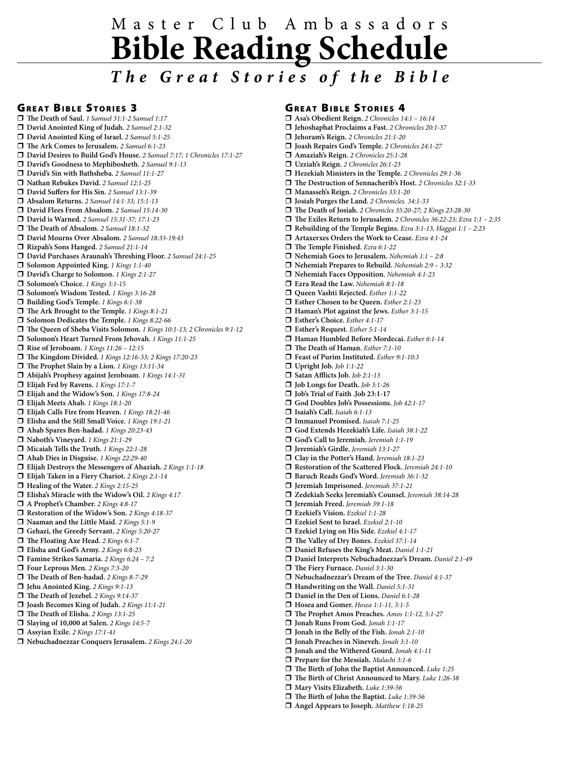# M a s t e r C l u b A m b a s s a d o r s **Bible Reading Schedule**

### *T h e G r e a t S t o r i e s o f t h e B i b l e*

#### **GREAT BIBLE STORIES 3**

r **The Death of Saul.** *1 Samuel 31:1-2 Samuel 1:17* r **David Anointed King of Judah.** *2 Samuel 2:1-32* r **David Anointed King of Israel.** *2 Samuel 5:1-25* r **The Ark Comes to Jerusalem.** *2 Samuel 6:1-23* r **David Desires to Build God's House.** *2 Samuel 7:17; 1 Chronicles 17:1-27* r **David's Goodness to Mephibosheth.** *2 Samuel 9:1-13* r **David's Sin with Bathsheba.** *2 Samuel 11:1-27* r **Nathan Rebukes David.** *2 Samuel 12:1-25* r **David Suffers for His Sin.** *2 Samuel 13:1-39* r **Absalom Returns.** *2 Samuel 14:1-33; 15:1-13* r **David Flees From Absalom.** *2 Samuel 15:14-30* r **David is Warned.** *2 Samuel 15:31-37; 17:1-23* r **The Death of Absalom.** *2 Samuel 18:1-32* r **David Mourns Over Absalom.** *2 Samuel 18:33-19:43* r **Rizpah's Sons Hanged.** *2 Samuel 21:1-14* r **David Purchases Araunah's Threshing Floor.** *2 Samuel 24:1-25* □ Solomon Appointed King. 1 Kings 1:1-40 □ David's Charge to Solomon. *1 Kings 2:1-27* □ Solomon's Choice. *1 Kings 3:1-15* □ Solomon's Wisdom Tested. 1 Kings 3:16-28 □ Building God's Temple. *1 Kings 6:1-38* r **The Ark Brought to the Temple.** *1 Kings 8:1-21* r **Solomon Dedicates the Temple.** *1 Kings 8:22-66* r **The Queen of Sheba Visits Solomon.** *1 Kings 10:1-13; 2 Chronicles 9:1-12* r **Solomon's Heart Turned From Jehovah.** *1 Kings 11:1-25* □ Rise of Jeroboam. *1 Kings 11:26 - 12:15* r **The Kingdom Divided.** *1 Kings 12:16-33; 2 Kings 17:20-23* r **The Prophet Slain by a Lion.** *1 Kings 13:11-34* r **Abijah's Prophesy against Jeroboam.** *1 Kings 14:1-31* r **Elijah Fed by Ravens.** *1 Kings 17:1-7* r **Elijah and the Widow's Son.** *1 Kings 17:8-24* r **Elijah Meets Ahab.** *1 Kings 18:1-20* r **Elijah Calls Fire from Heaven.** *1 Kings 18:21-46* r **Elisha and the Still Small Voice.** *1 Kings 19:1-21* r **Ahab Spares Ben-hadad.** *1 Kings 20:23-43* r **Naboth's Vineyard.** *1 Kings 21:1-29* □ Micaiah Tells the Truth. *1 Kings 22:1-28* r **Ahab Dies in Disguise.** *1 Kings 22:29-40* r **Elijah Destroys the Messengers of Ahaziah.** *2 Kings 1:1-18* r **Elijah Taken in a Fiery Chariot.** *2 Kings 2:1-14* □ Healing of the Water. 2 Kings 2:15-25 r **Elisha's Miracle with the Widow's Oil.** *2 Kings 4:17* □ A Prophet's Chamber. 2 Kings 4:8-17 r **Restoration of the Widow's Son.** *2 Kings 4:18-37* r **Naaman and the Little Maid.** *2 Kings 5:1-9* r **Gehazi, the Greedy Servant.** *2 Kings 5:20-27* r **The Floating Axe Head.** *2 Kings 6:1-7* r **Elisha and God's Army.** *2 Kings 6:8-23* r **Famine Strikes Samaria.** *2 Kings 6:24 – 7:2* r **Four Leprous Men.** *2 Kings 7:3-20* r **The Death of Ben-hadad.** *2 Kings 8-7-29* r **Jehu Anointed King.** *2 Kings 9:1-13* □ The Death of Jezebel. 2 Kings 9:14-37 r **Joash Becomes King of Judah.** *2 Kings 11:1-21* r **The Death of Elisha.** *2 Kings 13:1-25* r **Slaying of 10,000 at Salen.** *2 Kings 14:5-7* r **Assyian Exile.** *2 Kings 17:1-41*

#### r **Nebuchadnezzar Conquers Jerusalem.** *2 Kings 24:1-20*

#### **GREAT BIBLE STORIES 4**

r **Asa's Obedient Reign.** *2 Chronicles 14:1 – 16:14*

- r **Jehoshaphat Proclaims a Fast.** *2 Chronicles 20:1-37*
- r **Jehoram's Reign.** *2 Chronicles 21:1-20*
- r **Joash Repairs God's Temple.** *2 Chronicles 24:1-27*
- r **Amaziah's Reign.** *2 Chronicles 25:1-28* r **Uzziah's Reign.** *2 Chronicles 26:1-23*
- r **Hezekiah Ministers in the Temple.** *2 Chronicles 29:1-36*
- r **The Destruction of Sennacherib's Host.** *2 Chronicles 32:1-33*
- □ Manasseh's Reign. 2 Chronicles 33:1-20
- 
- r **Josiah Purges the Land.** *2 Chronicles. 34:1-33* r **The Death of Josiah.** *2 Chronicles 35:20-27; 2 Kings 23:28-30*
- r **The Exiles Return to Jerusalem.** *2 Chronicles 36:22-23; Ezra 1:1 2:35*
- r **Rebuilding of the Temple Begins.** *Ezra 3:1-13, Haggai 1:1 2:23*
- r **Artaxerxes Orders the Work to Cease.** *Ezra 4:1-24*
- □ The Temple Finished. *Ezra 6:1-22*
- r **Nehemiah Goes to Jerusalem.** *Nehemiah 1:1 2:8*
- r **Nehemiah Prepares to Rebuild.** *Nehemiah 2:9 3:32*
- r **Nehemiah Faces Opposition.** *Nehemiah 4:1-23*
- r **Ezra Read the Law.** *Nehemiah 8:1-18*
- 
- r **Queen Vashti Rejected.** *Esther 1:1-22*
- r **Esther Chosen to be Queen.** *Esther 2:1-23*
- r **Haman's Plot against the Jews.** *Esther 3:1-15*
- r **Esther's Choice.** *Esther 4:1-17* r **Esther's Request.** *Esther 5:1-14*
- r **Haman Humbled Before Mordecai.** *Esther 6:1-14*
- 
- r **The Death of Haman.** *Esther 7:1-10* r **Feast of Purim Instituted.** *Esther 9:1-10:3*
- r **Upright Job.** *Job 1:1-22*
- r **Satan Afflicts Job.** *Job 2:1-13*
- r **Job Longs for Death.** *Job 3:1-26*
- r **Job's Trial of Faith .Job 23:1-17**
- r **God Doubles Job's Possessions.** *Job 42:1-17*
- r **Isaiah's Call.** *Isaiah 6:1-13*
- r **Immanuel Promised.** *Isaiah 7:1-25*
- r **God Extends Hezekiah's Life.** *Isaiah 38:1-22*
- r **God's Call to Jeremiah.** *Jeremiah 1:1-19*
- r **Jeremiah's Girdle.** *Jeremiah 13:1-27*
- r **Clay in the Potter's Hand.** *Jeremiah 18:1-23*
- □ Restoration of the Scattered Flock. *Jeremiah 24:1-10*
- r **Baruch Reads God's Word.** *Jeremiah 36:1-32*
- r **Jeremiah Imprisoned.** *Jeremiah 37:1-21*
- r **Zedekiah Seeks Jeremiah's Counsel.** *Jeremiah 38:14-28*
- r **Jeremiah Freed.** *Jeremiah 39:1-18*
- r **Ezekiel's Vision.** *Ezekiel 1:1-28*
- r **Ezekiel Sent to Israel.** *Ezekiel 2:1-10*
- r **Ezekiel Lying on His Side.** *Ezekiel 4:1-17*
- r **The Valley of Dry Bones.** *Ezekiel 37:1-14*
- r **Daniel Refuses the King's Meat.** *Daniel 1:1-21*
- r **Daniel Interprets Nebuchadnezzar's Dream.** *Daniel 2:1-49*
- r **The Fiery Furnace.** *Daniel 3:1-30*
- r **Nebuchadnezzar's Dream of the Tree.** *Daniel 4:1-37*
- □ Handwriting on the Wall. *Daniel 5:1-31*
- r **Daniel in the Den of Lions.** *Daniel 6:1-28*
- r **Hosea and Gomer.** *Hosea 1:1-11, 3:1-5*
- r **The Prophet Amos Preaches.** *Amos 1:1-12, 5:1-27*
- r **Jonah Runs From God.** *Jonah 1:1-17*
- r **Jonah in the Belly of the Fish.** *Jonah 2:1-10*
- r **Jonah Preaches in Nineveh.** *Jonah 3:1-10*
- r **Jonah and the Withered Gourd.** *Jonah 4:1-11*
- r **Prepare for the Messiah.** *Malachi 3:1-6*
- r **The Birth of John the Baptist Announced.** *Luke 1:25*
- r **The Birth of Christ Announced to Mary.** *Luke 1:26-38*
- r **Mary Visits Elizabeth.** *Luke 1:39-56*
- r **The Birth of John the Baptist.** *Luke 1:39-56*
- □ Angel Appears to Joseph. *Matthew 1:18-25*